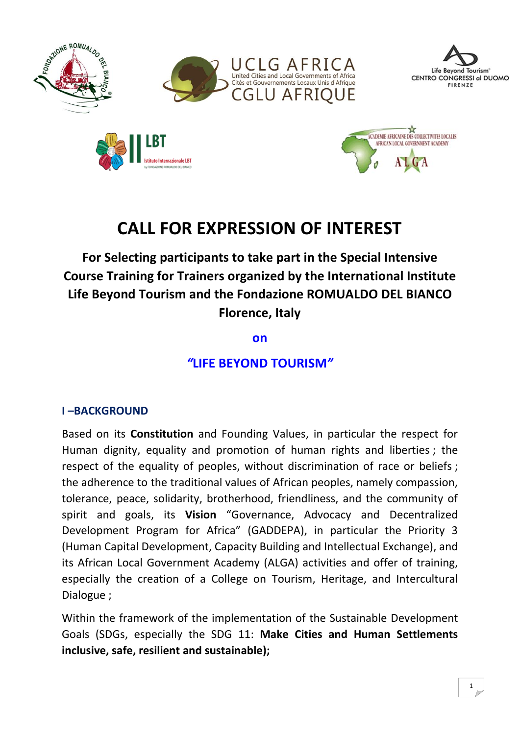



**For Selecting participants to take part in the Special Intensive Course Training for Trainers organized by the International Institute Life Beyond Tourism and the Fondazione ROMUALDO DEL BIANCO Florence, Italy**

**on**

*"***LIFE BEYOND TOURISM***"*

#### **I –BACKGROUND**

Based on its **Constitution** and Founding Values, in particular the respect for Human dignity, equality and promotion of human rights and liberties ; the respect of the equality of peoples, without discrimination of race or beliefs ; the adherence to the traditional values of African peoples, namely compassion, tolerance, peace, solidarity, brotherhood, friendliness, and the community of spirit and goals, its **Vision** "Governance, Advocacy and Decentralized Development Program for Africa" (GADDEPA), in particular the Priority 3 (Human Capital Development, Capacity Building and Intellectual Exchange), and its African Local Government Academy (ALGA) activities and offer of training, especially the creation of a College on Tourism, Heritage, and Intercultural Dialogue ;

Within the framework of the implementation of the Sustainable Development Goals (SDGs, especially the SDG 11: **Make Cities and Human Settlements inclusive, safe, resilient and sustainable);**

Life Beyond Tourism®

FIRENZE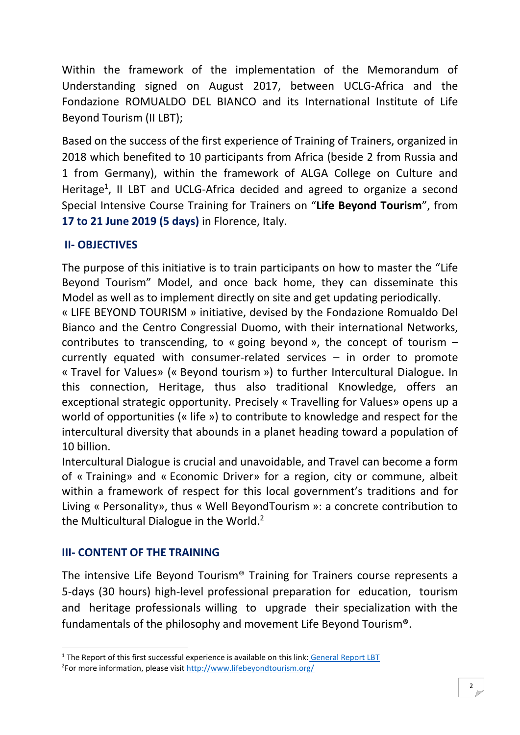Within the framework of the implementation of the Memorandum of Understanding signed on August 2017, between UCLG-Africa and the Fondazione ROMUALDO DEL BIANCO and its International Institute of Life Beyond Tourism (II LBT);

Based on the success of the first experience of Training of Trainers, organized in 2018 which benefited to 10 participants from Africa (beside 2 from Russia and 1 from Germany), within the framework of ALGA College on Culture and Heritage<sup>1</sup>, II LBT and UCLG-Africa decided and agreed to organize a second Special Intensive Course Training for Trainers on "**Life Beyond Tourism**", from **17 to 21 June 2019 (5 days)** in Florence, Italy.

# **II- OBJECTIVES**

The purpose of this initiative is to train participants on how to master the "Life Beyond Tourism" Model, and once back home, they can disseminate this Model as well as to implement directly on site and get updating periodically.

« LIFE BEYOND TOURISM » initiative, devised by the Fondazione Romualdo Del Bianco and the Centro Congressial Duomo, with their international Networks, contributes to transcending, to « going beyond », the concept of tourism  $$ currently equated with consumer-related services – in order to promote « Travel for Values» (« Beyond tourism ») to further Intercultural Dialogue. In this connection, Heritage, thus also traditional Knowledge, offers an exceptional strategic opportunity. Precisely « Travelling for Values» opens up a world of opportunities (« life ») to contribute to knowledge and respect for the intercultural diversity that abounds in a planet heading toward a population of 10 billion.

Intercultural Dialogue is crucial and unavoidable, and Travel can become a form of « Training» and « Economic Driver» for a region, city or commune, albeit within a framework of respect for this local government's traditions and for Living « Personality», thus « Well BeyondTourism »: a concrete contribution to the Multicultural Dialogue in the World.<sup>2</sup>

#### **III- CONTENT OF THE TRAINING**

**.** 

The intensive Life Beyond Tourism® Training for Trainers course represents a 5-days (30 hours) high-level professional preparation for education, tourism and heritage professionals willing to upgrade their specialization with the fundamentals of the philosophy and movement Life Beyond Tourism®.

<sup>&</sup>lt;sup>1</sup> The Report of this first successful experience is available on this link: [General Report LBT](https://uclgafrica723-my.sharepoint.com/:b:/g/personal/lramilijaona_uclga_org/EQTln3RRTZhGgpFWWiK34xYB-X0NYNLJY2y-s7C0aq4PKg?e=rIdFMF)

<sup>&</sup>lt;sup>2</sup>For more information, please visit <http://www.lifebeyondtourism.org/>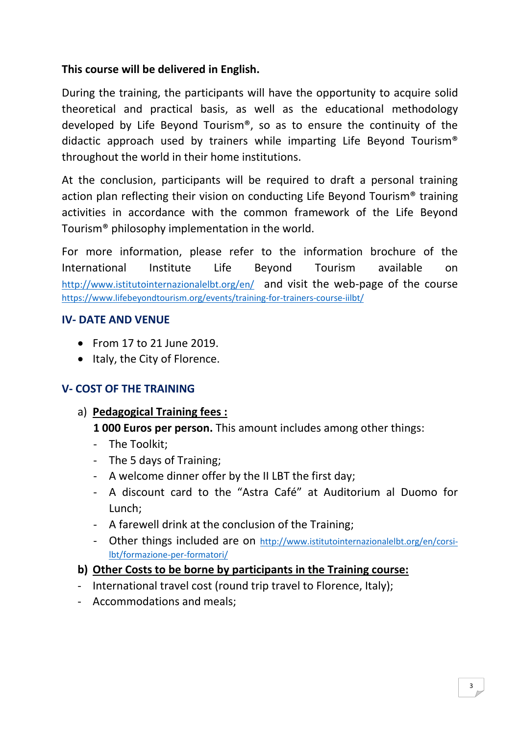### **This course will be delivered in English.**

During the training, the participants will have the opportunity to acquire solid theoretical and practical basis, as well as the educational methodology developed by Life Beyond Tourism®, so as to ensure the continuity of the didactic approach used by trainers while imparting Life Beyond Tourism® throughout the world in their home institutions.

At the conclusion, participants will be required to draft a personal training action plan reflecting their vision on conducting Life Beyond Tourism® training activities in accordance with the common framework of the Life Beyond Tourism® philosophy implementation in the world.

For more information, please refer to the information brochure of the International Institute Life Beyond Tourism available on <http://www.istitutointernazionalelbt.org/en/> and visit the web-page of the course <https://www.lifebeyondtourism.org/events/training-for-trainers-course-iilbt/>

#### **IV- DATE AND VENUE**

- From 17 to 21 June 2019.
- Italy, the City of Florence.

# **V- COST OF THE TRAINING**

#### a) **Pedagogical Training fees :**

**1 000 Euros per person.** This amount includes among other things:

- The Toolkit;
- The 5 days of Training;
- A welcome dinner offer by the II LBT the first day;
- A discount card to the "Astra Café" at Auditorium al Duomo for Lunch;
- A farewell drink at the conclusion of the Training;
- Other things included are on [http://www.istitutointernazionalelbt.org/en/corsi](http://www.istitutointernazionalelbt.org/en/corsi-lbt/formazione-per-formatori/)[lbt/formazione-per-formatori/](http://www.istitutointernazionalelbt.org/en/corsi-lbt/formazione-per-formatori/)

# **b) Other Costs to be borne by participants in the Training course:**

- International travel cost (round trip travel to Florence, Italy);
- Accommodations and meals;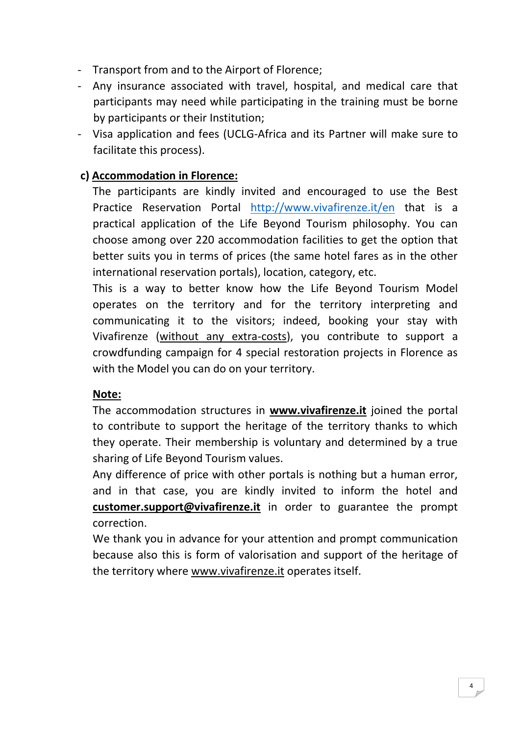- Transport from and to the Airport of Florence;
- Any insurance associated with travel, hospital, and medical care that participants may need while participating in the training must be borne by participants or their Institution;
- Visa application and fees (UCLG-Africa and its Partner will make sure to facilitate this process).

### **c) Accommodation in Florence:**

The participants are kindly invited and encouraged to use the Best Practice Reservation Portal <http://www.vivafirenze.it/en> that is a practical application of the Life Beyond Tourism philosophy. You can choose among over 220 accommodation facilities to get the option that better suits you in terms of prices (the same hotel fares as in the other international reservation portals), location, category, etc.

This is a way to better know how the Life Beyond Tourism Model operates on the territory and for the territory interpreting and communicating it to the visitors; indeed, booking your stay with Vivafirenze (without any extra-costs), you contribute to support a crowdfunding campaign for 4 special restoration projects in Florence as with the Model you can do on your territory.

#### **Note:**

The accommodation structures in **www.vivafirenze.it** joined the portal to contribute to support the heritage of the territory thanks to which they operate. Their membership is voluntary and determined by a true sharing of Life Beyond Tourism values.

Any difference of price with other portals is nothing but a human error, and in that case, you are kindly invited to inform the hotel and **customer.support@vivafirenze.it** in order to guarantee the prompt correction.

We thank you in advance for your attention and prompt communication because also this is form of valorisation and support of the heritage of the territory where www.vivafirenze.it operates itself.